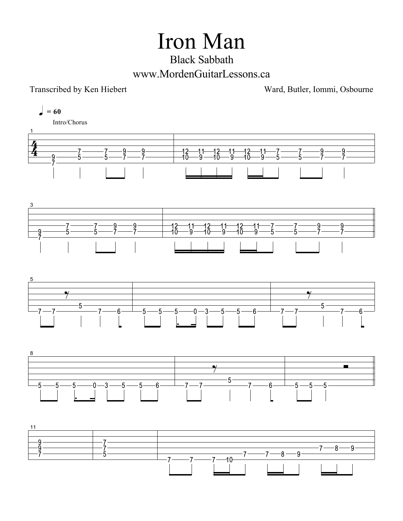## Iron Man

## Black Sabbath www.MordenGuitarLessons.ca

Transcribed by Ken Hiebert Ward, Butler, Iommi, Osbourne

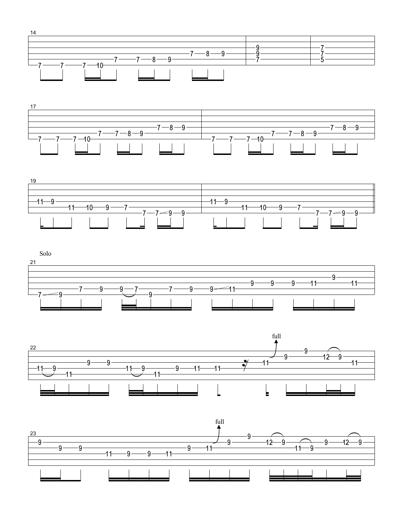